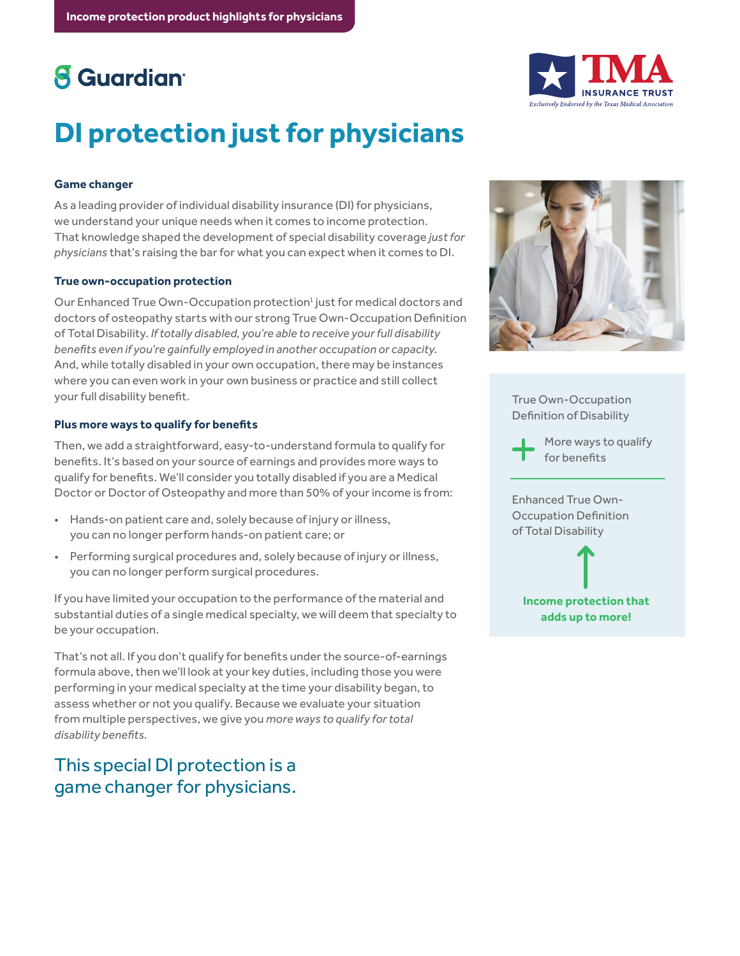## **8** Guardian<sup>®</sup>



# **DI protection just for physicians**

#### **Game changer**

As a leading provider of individual disability insurance (DI) for physicians, we understand your unique needs when it comes to income protection. That knowledge shaped the development of special disability coverage *just for physicians* that's raising the bar for what you can expect when it comes to DI.

#### **True own-occupation protection**

Our Enhanced True Own-Occupation protection<sup>1</sup> just for medical doctors and doctors of osteopathy starts with our strong True Own-Occupation Definition of Total Disability. *If totally disabled, you're able to receive your full disability benefits even if you're gainfully employed in another occupation or capacity.*  And, while totally disabled in your own occupation, there may be instances where you can even work in your own business or practice and still collect your full disability benefit.

#### **Plus more ways to qualify for benefits**

Then, we add a straightforward, easy-to-understand formula to qualify for benefits. It's based on your source of earnings and provides more ways to qualify for benefits. We'll consider you totally disabled if you are a Medical Doctor or Doctor of Osteopathy and more than 50% of your income is from:

- Hands-on patient care and, solely because of injury or illness, you can no longer perform hands-on patient care; or
- Performing surgical procedures and, solely because of injury or illness, you can no longer perform surgical procedures.

If you have limited your occupation to the performance of the material and substantial duties of a single medical specialty, we will deem that specialty to be your occupation.

That's not all. If you don't qualify for benefits under the source-of-earnings formula above, then we'll look at your key duties, including those you were performing in your medical specialty at the time your disability began, to assess whether or not you qualify. Because we evaluate your situation from multiple perspectives, we give you *more ways to qualify for total disability benefits.*

### This special DI protection is a game changer for physicians.



True Own-Occupation Definition of Disability

More ways to qualify for benefits

Enhanced True Own-Occupation Definition of Total Disability

**Income protection that adds up to more!**